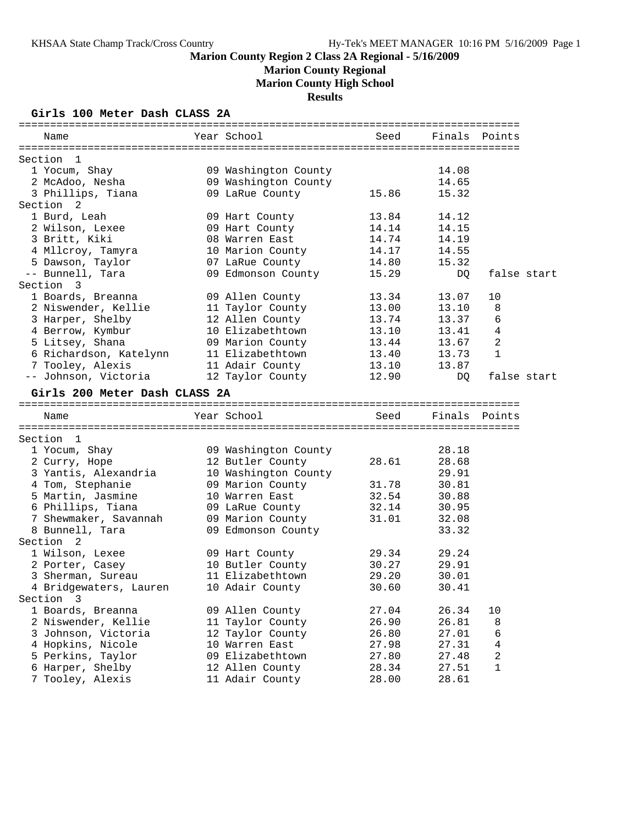**Marion County Regional**

**Marion County High School**

**Results**

#### **Girls 100 Meter Dash CLASS 2A**

| Name                             | Year School <b>Sandware</b>                  | Seed  | Finals Points |                |  |
|----------------------------------|----------------------------------------------|-------|---------------|----------------|--|
|                                  |                                              |       |               |                |  |
| Section 1                        |                                              |       | 14.08         |                |  |
| 1 Yocum, Shay<br>2 McAdoo, Nesha | 09 Washington County<br>09 Washington County |       | 14.65         |                |  |
| 3 Phillips, Tiana                | 09 LaRue County                              | 15.86 | 15.32         |                |  |
| Section <sub>2</sub>             |                                              |       |               |                |  |
| 1 Burd, Leah                     | 09 Hart County                               | 13.84 | 14.12         |                |  |
| 2 Wilson, Lexee                  | 09 Hart County                               | 14.14 | 14.15         |                |  |
| 3 Britt, Kiki                    | 08 Warren East                               | 14.74 | 14.19         |                |  |
| 4 Mllcroy, Tamyra                | 10 Marion County                             | 14.17 | 14.55         |                |  |
| 5 Dawson, Taylor                 | 07 LaRue County                              | 14.80 | 15.32         |                |  |
| -- Bunnell, Tara                 | 09 Edmonson County                           | 15.29 |               | false start    |  |
| Section 3                        |                                              |       | DQ            |                |  |
| 1 Boards, Breanna                | 09 Allen County                              | 13.34 | 13.07         | 10             |  |
| 2 Niswender, Kellie              | 11 Taylor County                             | 13.00 | 13.10         | 8              |  |
| 3 Harper, Shelby                 | 12 Allen County                              | 13.74 | 13.37         | 6              |  |
| 4 Berrow, Kymbur                 | 10 Elizabethtown                             | 13.10 | 13.41         | $\overline{4}$ |  |
| 5 Litsey, Shana                  | 09 Marion County                             | 13.44 | 13.67         | 2              |  |
| 6 Richardson, Katelynn           | 11 Elizabethtown                             | 13.40 | 13.73         | $\mathbf{1}$   |  |
| 7 Tooley, Alexis                 | 11 Adair County                              | 13.10 | 13.87         |                |  |
| -- Johnson, Victoria             | 12 Taylor County                             | 12.90 | DQ            | false start    |  |
|                                  |                                              |       |               |                |  |
| Girls 200 Meter Dash CLASS 2A    |                                              |       |               |                |  |
| Name                             | Year School                                  | Seed  | Finals Points |                |  |
|                                  |                                              |       |               |                |  |
| Section 1                        |                                              |       |               |                |  |
| 1 Yocum, Shay                    | 09 Washington County                         |       | 28.18         |                |  |
| 2 Curry, Hope                    | 12 Butler County                             | 28.61 | 28.68         |                |  |
| 3 Yantis, Alexandria             | 10 Washington County                         |       | 29.91         |                |  |
| 4 Tom, Stephanie                 | 09 Marion County                             | 31.78 | 30.81         |                |  |
| 5 Martin, Jasmine                | 10 Warren East                               | 32.54 | 30.88         |                |  |
| 6 Phillips, Tiana                | 09 LaRue County                              | 32.14 | 30.95         |                |  |
| 7 Shewmaker, Savannah            | 09 Marion County                             | 31.01 | 32.08         |                |  |
| 8 Bunnell, Tara                  | 09 Edmonson County                           |       | 33.32         |                |  |
| Section <sub>2</sub>             |                                              |       |               |                |  |
| 1 Wilson, Lexee                  | 09 Hart County                               | 29.34 | 29.24         |                |  |
| 2 Porter, Casey                  | 10 Butler County                             | 30.27 | 29.91         |                |  |
| 3 Sherman, Sureau                | 11 Elizabethtown                             | 29.20 | 30.01         |                |  |
| 4 Bridgewaters, Lauren           | 10 Adair County                              | 30.60 | 30.41         |                |  |
| Section 3                        |                                              |       |               |                |  |
| 1 Boards, Breanna                | 09 Allen County                              | 27.04 | 26.34         | 10             |  |
| 2 Niswender, Kellie              | 11 Taylor County                             | 26.90 | 26.81         | 8              |  |
| 3 Johnson, Victoria              | 12 Taylor County                             | 26.80 | 27.01         | 6              |  |
| 4 Hopkins, Nicole                | 10 Warren East                               | 27.98 | 27.31         | 4              |  |
| 5 Perkins, Taylor                | 09 Elizabethtown                             | 27.80 | 27.48         | $\overline{a}$ |  |
| 6 Harper, Shelby                 | 12 Allen County                              | 28.34 | 27.51         | $\mathbf{1}$   |  |
| 7 Tooley, Alexis                 | 11 Adair County                              | 28.00 | 28.61         |                |  |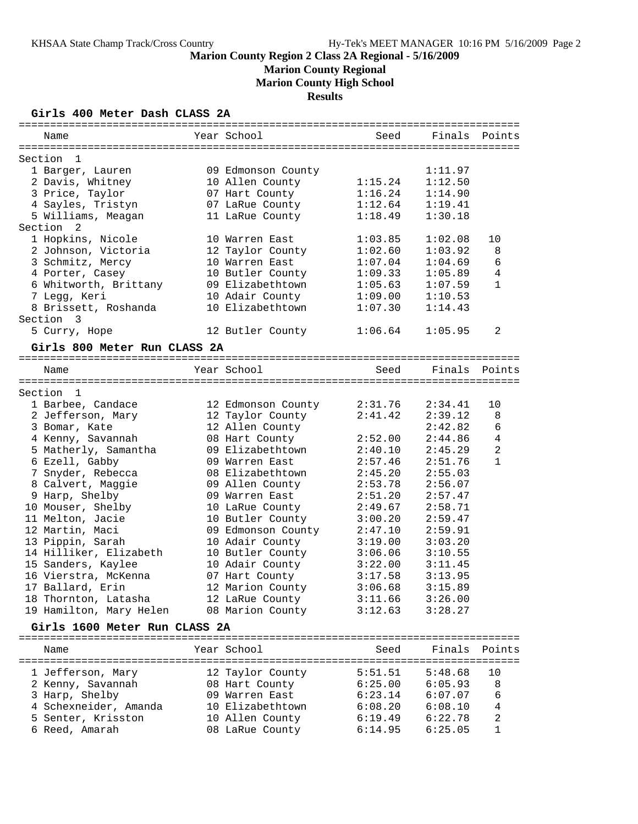**Marion County Regional**

**Marion County High School**

**Results**

#### **Girls 400 Meter Dash CLASS 2A**

| Name                          | Year School                    | Seed                  | Finals Points |                       |
|-------------------------------|--------------------------------|-----------------------|---------------|-----------------------|
|                               |                                |                       |               |                       |
| Section<br>1                  |                                |                       |               |                       |
| 1 Barger, Lauren              | 09 Edmonson County             |                       | 1:11.97       |                       |
| 2 Davis, Whitney              | 10 Allen County                | 1:15.24               | 1:12.50       |                       |
| 3 Price, Taylor               | 07 Hart County                 | 1:16.24               | 1:14.90       |                       |
| 4 Sayles, Tristyn             | 07 LaRue County                | 1:12.64               | 1:19.41       |                       |
| 5 Williams, Meagan            | 11 LaRue County                | 1:18.49               | 1:30.18       |                       |
| Section<br>2                  |                                |                       |               |                       |
| 1 Hopkins, Nicole             | 10 Warren East                 | 1:03.85               | 1:02.08       | 10                    |
| 2 Johnson, Victoria           | 12 Taylor County               | 1:02.60               | 1:03.92       | 8                     |
| 3 Schmitz, Mercy              | 10 Warren East                 | 1:07.04               | 1:04.69       | 6                     |
| 4 Porter, Casey               | 10 Butler County               | 1:09.33               | 1:05.89       | 4                     |
| 6 Whitworth, Brittany         | 09 Elizabethtown               | 1:05.63               | 1:07.59       | $\mathbf{1}$          |
| 7 Legg, Keri                  | 10 Adair County                | 1:09.00               | 1:10.53       |                       |
| 8 Brissett, Roshanda          | 10 Elizabethtown               | 1:07.30               | 1:14.43       |                       |
| Section 3                     |                                |                       |               |                       |
| 5 Curry, Hope                 | 12 Butler County               | 1:06.64               | 1:05.95       | 2                     |
| Girls 800 Meter Run CLASS 2A  |                                |                       |               |                       |
|                               |                                |                       |               |                       |
| Name                          | Year School                    | Seed                  | Finals        | Points                |
|                               |                                |                       |               |                       |
| Section<br>$\mathbf{1}$       |                                |                       |               |                       |
| 1 Barbee, Candace             | 12 Edmonson County             | 2:31.76               | 2:34.41       | 10                    |
| 2 Jefferson, Mary             | 12 Taylor County               | 2:41.42               | 2:39.12       | 8                     |
| 3 Bomar, Kate                 | 12 Allen County                |                       | 2:42.82       | 6                     |
| 4 Kenny, Savannah             | 08 Hart County                 | 2:52.00               | 2:44.86       | 4                     |
| 5 Matherly, Samantha          | 09 Elizabethtown               | 2:40.10               | 2:45.29       | $\overline{a}$        |
| 6 Ezell, Gabby                | 09 Warren East                 | 2:57.46               | 2:51.76       | $\mathbf{1}$          |
| 7 Snyder, Rebecca             | 08 Elizabethtown               | 2:45.20               | 2:55.03       |                       |
| 8 Calvert, Maggie             | 09 Allen County                | 2:53.78               | 2:56.07       |                       |
| 9 Harp, Shelby                | 09 Warren East                 | 2:51.20               | 2:57.47       |                       |
| 10 Mouser, Shelby             | 10 LaRue County                | 2:49.67               | 2:58.71       |                       |
| 11 Melton, Jacie              | 10 Butler County               | 3:00.20               | 2:59.47       |                       |
| 12 Martin, Maci               | 09 Edmonson County             | 2:47.10               | 2:59.91       |                       |
| 13 Pippin, Sarah              | 10 Adair County                | 3:19.00               | 3:03.20       |                       |
| 14 Hilliker, Elizabeth        | 10 Butler County               | 3:06.06               | 3:10.55       |                       |
| 15 Sanders, Kaylee            | 10 Adair County                | 3:22.00               | 3:11.45       |                       |
| 16 Vierstra, McKenna          | 07 Hart County                 | 3:17.58               | 3:13.95       |                       |
| 17 Ballard, Erin              | 12 Marion County               | 3:06.68               | 3:15.89       |                       |
| 18 Thornton, Latasha          | 12 LaRue County                | 3:11.66               | 3:26.00       |                       |
| 19 Hamilton, Mary Helen       | 08 Marion County               | 3:12.63               | 3:28.27       |                       |
| Girls 1600 Meter Run CLASS 2A |                                |                       |               |                       |
|                               |                                |                       |               |                       |
| Name                          | Year School<br>=============== | Seed<br>============= | Finals        | Points<br>----------- |
| 1 Jefferson, Mary             | 12 Taylor County               | 5:51.51               | 5:48.68       | 10                    |
| 2 Kenny, Savannah             | 08 Hart County                 | 6:25.00               | 6:05.93       | 8                     |
| 3 Harp, Shelby                | 09 Warren East                 | 6:23.14               | 6:07.07       | 6                     |
| 4 Schexneider, Amanda         | 10 Elizabethtown               | 6:08.20               | 6:08.10       | 4                     |
| 5 Senter, Krisston            | 10 Allen County                | 6:19.49               | 6:22.78       | 2                     |
| 6 Reed, Amarah                | 08 LaRue County                | 6:14.95               | 6:25.05       | 1                     |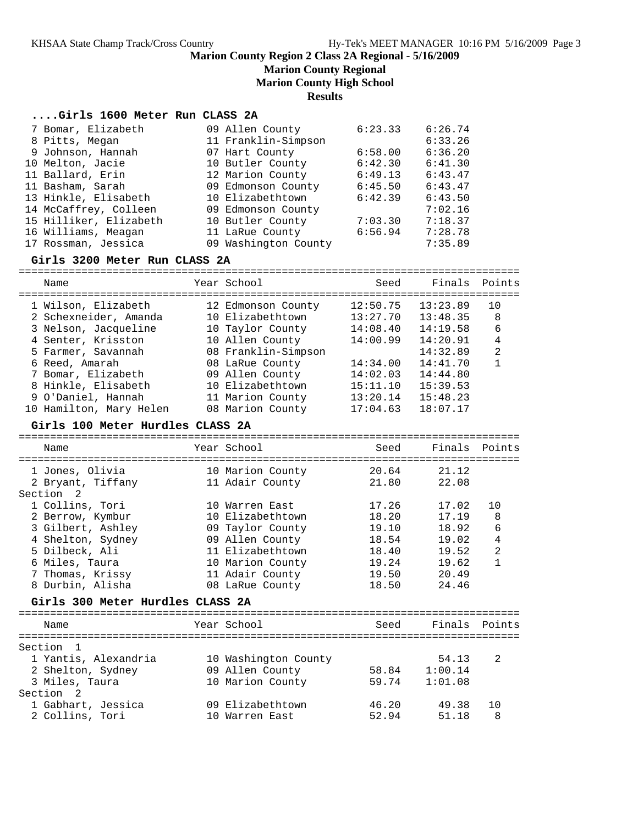## **Marion County Regional**

**Marion County High School**

**Results**

### **....Girls 1600 Meter Run CLASS 2A**

| 7 Bomar, Elizabeth     | 09 Allen County      | 6:23.33 | 6:26.74 |
|------------------------|----------------------|---------|---------|
| 8 Pitts, Megan         | 11 Franklin-Simpson  |         | 6:33.26 |
| 9 Johnson, Hannah      | 07 Hart County       | 6:58.00 | 6:36.20 |
| 10 Melton, Jacie       | 10 Butler County     | 6:42.30 | 6:41.30 |
| 11 Ballard, Erin       | 12 Marion County     | 6:49.13 | 6:43.47 |
| 11 Basham, Sarah       | 09 Edmonson County   | 6:45.50 | 6:43.47 |
| 13 Hinkle, Elisabeth   | 10 Elizabethtown     | 6:42.39 | 6:43.50 |
| 14 McCaffrey, Colleen  | 09 Edmonson County   |         | 7:02.16 |
| 15 Hilliker, Elizabeth | 10 Butler County     | 7:03.30 | 7:18.37 |
| 16 Williams, Meagan    | 11 LaRue County      | 6:56.94 | 7:28.78 |
| 17 Rossman, Jessica    | 09 Washington County |         | 7:35.89 |

#### **Girls 3200 Meter Run CLASS 2A**

| Name                                         | Year School                            | Seed                 | Finals Points        |                |
|----------------------------------------------|----------------------------------------|----------------------|----------------------|----------------|
| 1 Wilson, Elizabeth<br>2 Schexneider, Amanda | 12 Edmonson County<br>10 Elizabethtown | 12:50.75<br>13:27.70 | 13:23.89<br>13:48.35 | 10<br>8        |
| 3 Nelson, Jacqueline                         | 10 Taylor County                       | 14:08.40             | 14:19.58             | 6              |
| 4 Senter, Krisston                           | 10 Allen County                        | 14:00.99             | 14:20.91             | 4              |
| 5 Farmer, Savannah                           | 08 Franklin-Simpson                    |                      | 14:32.89             | $\mathfrak{D}$ |
| 6 Reed, Amarah                               | 08 LaRue County                        | 14:34.00             | 14:41.70             | 1              |
| 7 Bomar, Elizabeth                           | 09 Allen County                        | 14:02.03             | 14:44.80             |                |
| 8 Hinkle, Elisabeth                          | 10 Elizabethtown                       | 15:11.10             | 15:39.53             |                |
| 9 O'Daniel, Hannah                           | 11 Marion County                       | 13:20.14             | 15:48.23             |                |
| 10 Hamilton, Mary Helen                      | 08 Marion County                       | 17:04.63             | 18:07.17             |                |
|                                              |                                        |                      |                      |                |

#### **Girls 100 Meter Hurdles CLASS 2A**

================================================================================

| Name                                                                                                                                                                                          | Year School                                                                                                                                             | Seed                             | Finals                                                                                       | Points                                                    |
|-----------------------------------------------------------------------------------------------------------------------------------------------------------------------------------------------|---------------------------------------------------------------------------------------------------------------------------------------------------------|----------------------------------|----------------------------------------------------------------------------------------------|-----------------------------------------------------------|
| 1 Jones, Olivia<br>2 Bryant, Tiffany<br>Section <sub>2</sub>                                                                                                                                  | 10 Marion County<br>11 Adair County                                                                                                                     | 21.80                            | 20.64 21.12<br>22.08                                                                         |                                                           |
| 1 Collins, Tori<br>2 Berrow, Kymbur<br>3 Gilbert, Ashley<br>4 Shelton, Sydney<br>5 Dilbeck, Ali<br>6 Miles, Taura<br>7 Thomas, Krissy<br>8 Durbin, Alisha<br>Girls 300 Meter Hurdles CLASS 2A | 10 Warren East<br>10 Elizabethtown<br>09 Taylor County<br>09 Allen County<br>11 Elizabethtown<br>10 Marion County<br>11 Adair County<br>08 LaRue County | 17.26<br>18.20<br>19.10<br>19.24 | 17.02<br>17.19<br>18.92<br>18.54 19.02<br>18.40 19.52<br>19.62<br>19.50 20.49<br>18.50 24.46 | 10<br>8<br>6<br>$\bf 4$<br>$\overline{a}$<br>$\mathbf{1}$ |
| Name                                                                                                                                                                                          | Year School                                                                                                                                             | Seed                             | Finals Points                                                                                |                                                           |
| ===================================<br>Section <sub>1</sub><br>1 Yantis, Alexandria<br>2 Shelton, Sydney<br>3 Miles, Taura<br>Section <sub>2</sub>                                            | 10 Washington County<br>09 Allen County<br>10 Marion County                                                                                             | 59.74                            | 54.13<br>58.84 1:00.14<br>1:01.08                                                            | 2                                                         |
| 1 Gabhart, Jessica<br>2 Collins, Tori                                                                                                                                                         | 09 Elizabethtown<br>10 Warren East                                                                                                                      | 52.94                            | 46.20 49.38<br>51.18                                                                         | 10<br>8                                                   |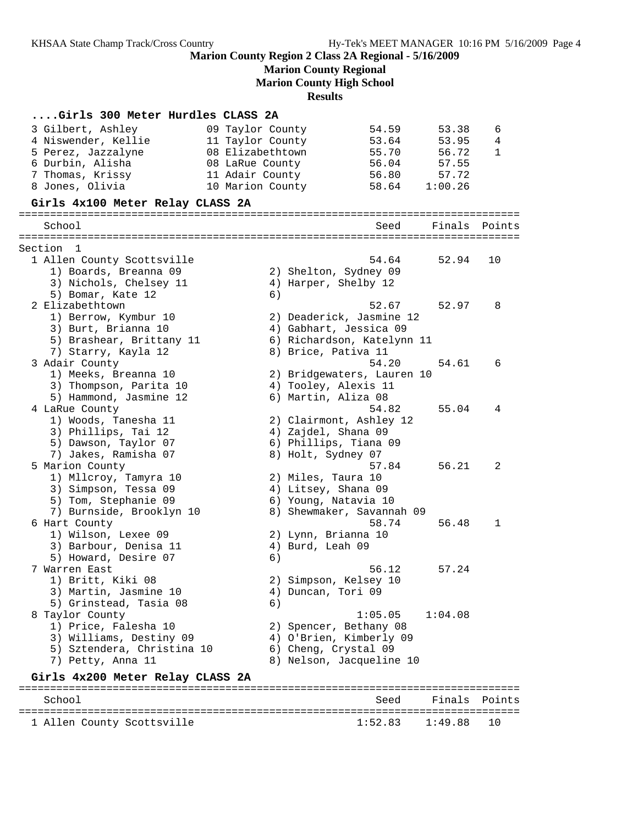1 Allen County Scottsville

**Marion County Region 2 Class 2A Regional - 5/16/2009**

**Marion County Regional**

**Marion County High School**

**Results**

## **....Girls 300 Meter Hurdles CLASS 2A**

| 3 Gilbert, Ashley                           | 09 Taylor County | 54.59                      | 53.38   | 6             |
|---------------------------------------------|------------------|----------------------------|---------|---------------|
| 4 Niswender, Kellie                         | 11 Taylor County | 53.64                      | 53.95   | 4             |
| 5 Perez, Jazzalyne                          | 08 Elizabethtown | 55.70                      | 56.72   | 1             |
| 6 Durbin, Alisha                            | 08 LaRue County  | 56.04                      | 57.55   |               |
| 7 Thomas, Krissy                            | 11 Adair County  | 56.80                      | 57.72   |               |
| 8 Jones, Olivia                             | 10 Marion County | 58.64                      | 1:00.26 |               |
| Girls 4x100 Meter Relay CLASS 2A            |                  |                            |         |               |
|                                             |                  |                            |         |               |
| School                                      |                  | Seed                       | Finals  | Points        |
|                                             |                  |                            |         |               |
| Section 1                                   |                  | 54.64                      | 52.94   | 10            |
| 1 Allen County Scottsville                  |                  |                            |         |               |
| 1) Boards, Breanna 09                       |                  | 2) Shelton, Sydney 09      |         |               |
| 3) Nichols, Chelsey 11<br>5) Bomar, Kate 12 | 6)               | 4) Harper, Shelby 12       |         |               |
| 2 Elizabethtown                             |                  | 52.67                      | 52.97   | 8             |
| 1) Berrow, Kymbur 10                        |                  | 2) Deaderick, Jasmine 12   |         |               |
| 3) Burt, Brianna 10                         |                  | 4) Gabhart, Jessica 09     |         |               |
| 5) Brashear, Brittany 11                    |                  | 6) Richardson, Katelynn 11 |         |               |
| 7) Starry, Kayla 12                         |                  | 8) Brice, Pativa 11        |         |               |
| 3 Adair County                              |                  | 54.20                      | 54.61   | 6             |
| 1) Meeks, Breanna 10                        |                  | 2) Bridgewaters, Lauren 10 |         |               |
| 3) Thompson, Parita 10                      |                  | 4) Tooley, Alexis 11       |         |               |
| 5) Hammond, Jasmine 12                      |                  | 6) Martin, Aliza 08        |         |               |
| 4 LaRue County                              |                  | 54.82                      | 55.04   | 4             |
| 1) Woods, Tanesha 11                        |                  | 2) Clairmont, Ashley 12    |         |               |
| 3) Phillips, Tai 12                         |                  | 4) Zajdel, Shana 09        |         |               |
| 5) Dawson, Taylor 07                        |                  | 6) Phillips, Tiana 09      |         |               |
| 7) Jakes, Ramisha 07                        |                  | 8) Holt, Sydney 07         |         |               |
| 5 Marion County                             |                  | 57.84                      | 56.21   | 2             |
| 1) Mllcroy, Tamyra 10                       |                  | 2) Miles, Taura 10         |         |               |
| 3) Simpson, Tessa 09                        |                  | 4) Litsey, Shana 09        |         |               |
| 5) Tom, Stephanie 09                        |                  | 6) Young, Natavia 10       |         |               |
| 7) Burnside, Brooklyn 10                    |                  | 8) Shewmaker, Savannah 09  |         |               |
| 6 Hart County                               |                  | 58.74                      | 56.48   | 1             |
| 1) Wilson, Lexee 09                         |                  | 2) Lynn, Brianna 10        |         |               |
| 3) Barbour, Denisa 11                       |                  | 4) Burd, Leah 09           |         |               |
| 5) Howard, Desire 07                        | 6)               |                            |         |               |
| 7 Warren East                               |                  | 56.12                      | 57.24   |               |
| 1) Britt, Kiki 08                           |                  | 2) Simpson, Kelsey 10      |         |               |
| 3) Martin, Jasmine 10                       |                  | 4) Duncan, Tori 09         |         |               |
| 5) Grinstead, Tasia 08                      | 6)               |                            |         |               |
| 8 Taylor County                             |                  | 1:05.05                    | 1:04.08 |               |
| 1) Price, Falesha 10                        |                  | 2) Spencer, Bethany 08     |         |               |
| 3) Williams, Destiny 09                     |                  | 4) O'Brien, Kimberly 09    |         |               |
| 5) Sztendera, Christina 10                  |                  | 6) Cheng, Crystal 09       |         |               |
| 7) Petty, Anna 11                           |                  | 8) Nelson, Jacqueline 10   |         |               |
| Girls 4x200 Meter Relay CLASS 2A            |                  |                            |         |               |
| School                                      |                  | Seed                       |         | Finals Points |
|                                             |                  |                            |         |               |
| 1 Allen County Scottsville                  |                  | 1:52.83                    | 1:49.88 | 10            |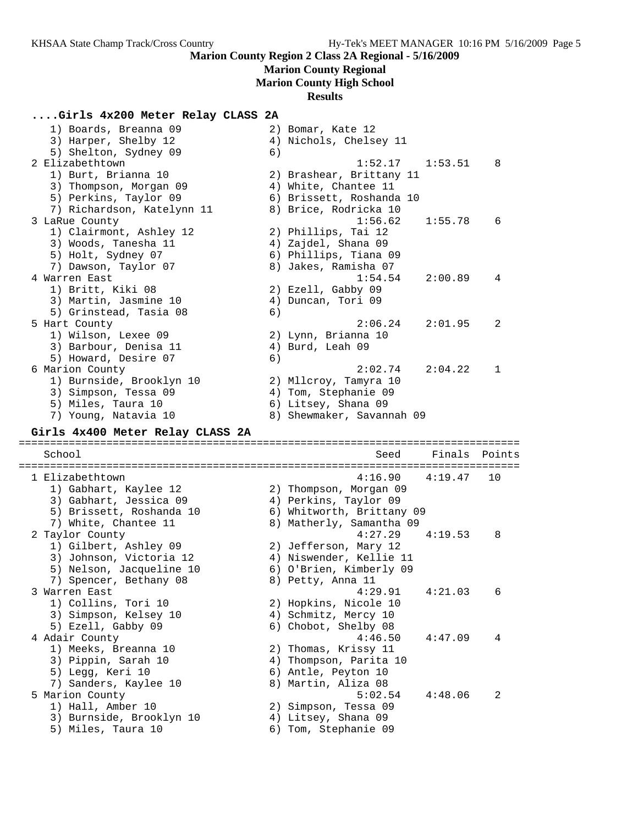#### **Marion County Regional**

**Marion County High School**

#### **Results**

#### **....Girls 4x200 Meter Relay CLASS 2A**

| Girls 4x400 Meter Relay CLASS 2A |                           |
|----------------------------------|---------------------------|
| 7) Young, Natavia 10             | 8) Shewmaker, Savannah 09 |
| 5) Miles, Taura 10               | 6) Litsey, Shana 09       |
| 3) Simpson, Tessa 09             | 4) Tom, Stephanie 09      |
| 1) Burnside, Brooklyn 10         | 2) Mllcroy, Tamyra 10     |
| 6 Marion County                  | 2:02.74<br>2:04.22<br>1   |
| 5) Howard, Desire 07             | 6)                        |
| 3) Barbour, Denisa 11            | 4) Burd, Leah 09          |
| 1) Wilson, Lexee 09              | 2) Lynn, Brianna 10       |
| 5 Hart County                    | 2:06.24<br>2:01.95<br>2   |
| 5) Grinstead, Tasia 08           | 6)                        |
| 3) Martin, Jasmine 10            | 4) Duncan, Tori 09        |
| 1) Britt, Kiki 08                | 2) Ezell, Gabby 09        |
| 4 Warren East                    | 1:54.54<br>2:00.89<br>4   |
| 7) Dawson, Taylor 07             | 8) Jakes, Ramisha 07      |
| 5) Holt, Sydney 07               | 6) Phillips, Tiana 09     |
| 3) Woods, Tanesha 11             | 4) Zajdel, Shana 09       |
| 1) Clairmont, Ashley 12          | 2) Phillips, Tai 12       |
| 3 LaRue County                   | 1:56.62<br>1:55.78<br>6   |
| 7) Richardson, Katelynn 11       | 8) Brice, Rodricka 10     |
| 5) Perkins, Taylor 09            | 6) Brissett, Roshanda 10  |
| 3) Thompson, Morgan 09           | 4) White, Chantee 11      |
| 1) Burt, Brianna 10              | 2) Brashear, Brittany 11  |
| 2 Elizabethtown                  | $1:52.17$ $1:53.51$<br>8  |
| 5) Shelton, Sydney 09            | 6)                        |
| 3) Harper, Shelby 12             | 4) Nichols, Chelsey 11    |
| 1) Boards, Breanna 09            | 2) Bomar, Kate 12         |

================================================================================ 1 Elizabethtown 4:16.90 4:19.47 10 1) Gabhart, Kaylee 12 2) Thompson, Morgan 09 3) Gabhart, Jessica 09 4) Perkins, Taylor 09 5) Brissett, Roshanda 10 6) Whitworth, Brittany 09 7) White, Chantee 11 8) Matherly, Samantha 09 2 Taylor County 4:27.29 4:19.53 8 1) Gilbert, Ashley 09 2) Jefferson, Mary 12 3) Johnson, Victoria 12 4) Niswender, Kellie 11 5) Nelson, Jacqueline 10 6) O'Brien, Kimberly 09 7) Spencer, Bethany 08 8) Petty, Anna 11 3 Warren East 4:29.91 4:21.03 6 1) Collins, Tori 10 2) Hopkins, Nicole 10 3) Simpson, Kelsey 10 (4) Schmitz, Mercy 10 5) Ezell, Gabby 09 6) Chobot, Shelby 08 4 Adair County 4:46.50 4:47.09 4 1) Meeks, Breanna 10 2) Thomas, Krissy 11 3) Pippin, Sarah 10 4) Thompson, Parita 10 5) Legg, Keri 10 6) Antle, Peyton 10 7) Sanders, Kaylee 10  $\hphantom{\text{2.65}$  8) Martin, Aliza 08

School Seed Finals Points

5 Marion County 5:02.54 4:48.06 2

- 1) Hall, Amber 10 2) Simpson, Tessa 09 3) Burnside, Brooklyn 10 4) Litsey, Shana 09
	-
- 5) Miles, Taura 10 6) Tom, Stephanie 09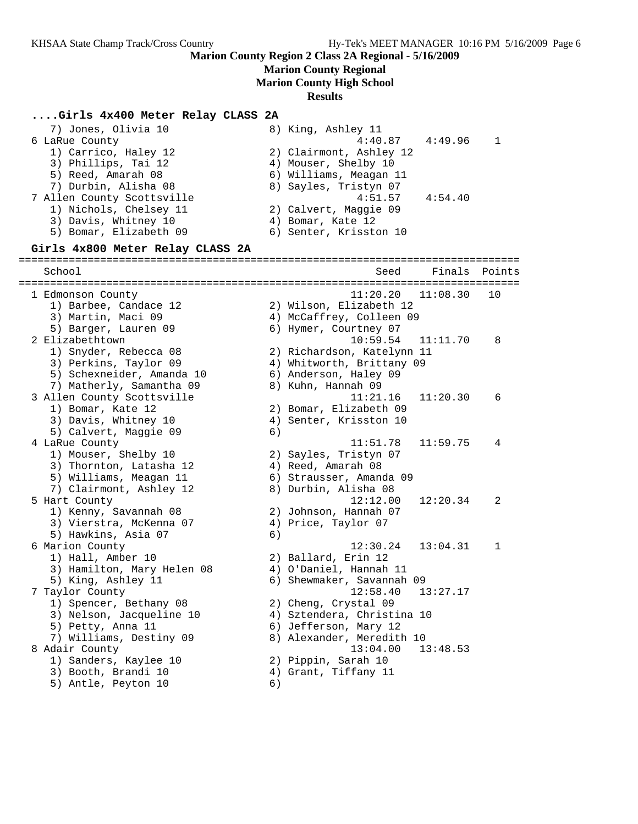# **Marion County Regional**

**Marion County High School**

## **Results**

## **....Girls 4x400 Meter Relay CLASS 2A**

| 7) Jones, Olivia 10<br>6 LaRue County<br>1) Carrico, Haley 12<br>3) Phillips, Tai 12<br>5) Reed, Amarah 08<br>7) Durbin, Alisha 08<br>7 Allen County Scottsville<br>1) Nichols, Chelsey 11<br>3) Davis, Whitney 10<br>5) Bomar, Elizabeth 09<br>Girls 4x800 Meter Relay CLASS 2A |    | 8) King, Ashley 11<br>4:40.87<br>2) Clairmont, Ashley 12<br>4) Mouser, Shelby 10<br>6) Williams, Meagan 11<br>8) Sayles, Tristyn 07<br>4:51.57<br>2) Calvert, Maggie 09<br>4) Bomar, Kate 12<br>6) Senter, Krisston 10 | 4:49.96<br>4:54.40 | 1      |
|----------------------------------------------------------------------------------------------------------------------------------------------------------------------------------------------------------------------------------------------------------------------------------|----|------------------------------------------------------------------------------------------------------------------------------------------------------------------------------------------------------------------------|--------------------|--------|
| School                                                                                                                                                                                                                                                                           |    | Seed                                                                                                                                                                                                                   | Finals             | Points |
| 1 Edmonson County<br>1) Barbee, Candace 12<br>3) Martin, Maci 09<br>5) Barger, Lauren 09                                                                                                                                                                                         |    | 11:20.20<br>2) Wilson, Elizabeth 12<br>4) McCaffrey, Colleen 09<br>6) Hymer, Courtney 07                                                                                                                               | 11:08.30           | 10     |
| 2 Elizabethtown<br>1) Snyder, Rebecca 08<br>3) Perkins, Taylor 09<br>5) Schexneider, Amanda 10<br>7) Matherly, Samantha 09                                                                                                                                                       |    | 10:59.54<br>2) Richardson, Katelynn 11<br>4) Whitworth, Brittany 09<br>6) Anderson, Haley 09<br>8) Kuhn, Hannah 09                                                                                                     | 11:11.70           | 8      |
| 3 Allen County Scottsville<br>1) Bomar, Kate 12<br>3) Davis, Whitney 10<br>5) Calvert, Maggie 09                                                                                                                                                                                 | 6) | 11:21.16<br>2) Bomar, Elizabeth 09<br>4) Senter, Krisston 10                                                                                                                                                           | 11:20.30           | 6      |
| 4 LaRue County<br>1) Mouser, Shelby 10<br>3) Thornton, Latasha 12<br>5) Williams, Meagan 11<br>7) Clairmont, Ashley 12                                                                                                                                                           |    | 11:51.78<br>2) Sayles, Tristyn 07<br>4) Reed, Amarah 08<br>6) Strausser, Amanda 09<br>8) Durbin, Alisha 08                                                                                                             | 11:59.75           | 4      |
| 5 Hart County<br>1) Kenny, Savannah 08<br>3) Vierstra, McKenna 07<br>5) Hawkins, Asia 07                                                                                                                                                                                         | 6) | 12:12.00<br>2) Johnson, Hannah 07<br>4) Price, Taylor 07                                                                                                                                                               | 12:20.34           | 2      |
| 6 Marion County<br>1) Hall, Amber 10<br>3) Hamilton, Mary Helen 08<br>5) King, Ashley 11                                                                                                                                                                                         |    | 12:30.24<br>2) Ballard, Erin 12<br>4) O'Daniel, Hannah 11<br>6) Shewmaker, Savannah 09                                                                                                                                 | 13:04.31           | 1      |
| 7 Taylor County<br>1) Spencer, Bethany 08<br>3) Nelson, Jacqueline 10<br>5) Petty, Anna 11<br>7) Williams, Destiny 09<br>8 Adair County                                                                                                                                          |    | $12:58.40$ $13:27.17$<br>2) Cheng, Crystal 09<br>4) Sztendera, Christina 10<br>6) Jefferson, Mary 12<br>8) Alexander, Meredith 10<br>13:04.00                                                                          | 13:48.53           |        |
| 1) Sanders, Kaylee 10<br>3) Booth, Brandi 10<br>5) Antle, Peyton 10                                                                                                                                                                                                              | 6) | 2) Pippin, Sarah 10<br>4) Grant, Tiffany 11                                                                                                                                                                            |                    |        |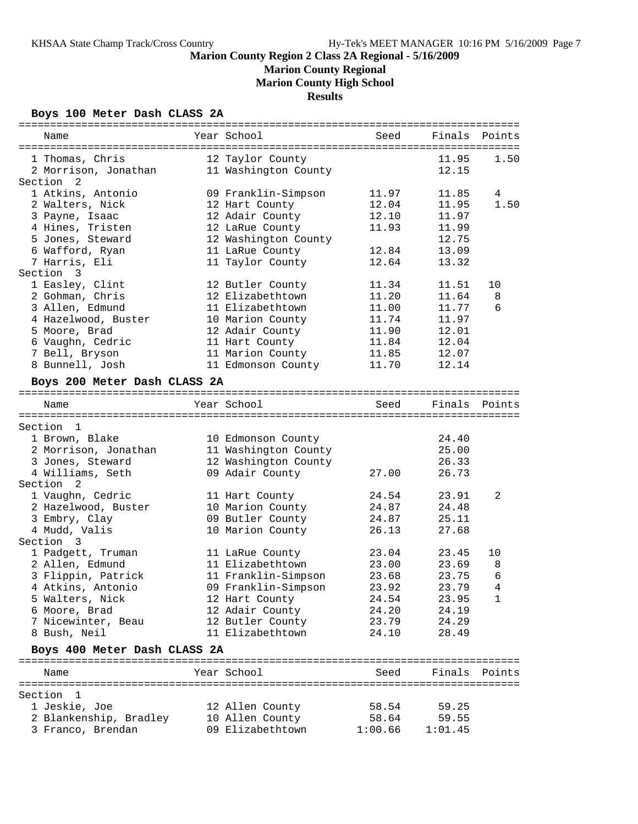**Marion County Regional**

**Marion County High School**

**Results**

## **Boys 100 Meter Dash CLASS 2A**

| Name                               | Year School          | Seed    | Finals  | Points |
|------------------------------------|----------------------|---------|---------|--------|
|                                    |                      |         |         |        |
| 1 Thomas, Chris                    | 12 Taylor County     |         | 11.95   | 1.50   |
| 2 Morrison, Jonathan               | 11 Washington County |         | 12.15   |        |
| Section <sub>2</sub>               |                      |         |         |        |
| 1 Atkins, Antonio                  | 09 Franklin-Simpson  | 11.97   | 11.85   | 4      |
| 2 Walters, Nick                    | 12 Hart County       | 12.04   | 11.95   | 1.50   |
| 3 Payne, Isaac                     | 12 Adair County      | 12.10   | 11.97   |        |
| 4 Hines, Tristen                   | 12 LaRue County      | 11.93   | 11.99   |        |
| 5 Jones, Steward                   | 12 Washington County |         | 12.75   |        |
| 6 Wafford, Ryan                    | 11 LaRue County      | 12.84   | 13.09   |        |
| 7 Harris, Eli                      | 11 Taylor County     | 12.64   | 13.32   |        |
| Section<br>$\overline{\mathbf{3}}$ |                      |         |         |        |
| 1 Easley, Clint                    | 12 Butler County     | 11.34   | 11.51   | 10     |
| 2 Gohman, Chris                    | 12 Elizabethtown     | 11.20   | 11.64   | 8      |
| 3 Allen, Edmund                    | 11 Elizabethtown     | 11.00   | 11.77   | 6      |
| 4 Hazelwood, Buster                | 10 Marion County     | 11.74   | 11.97   |        |
| 5 Moore, Brad                      | 12 Adair County      | 11.90   | 12.01   |        |
| 6 Vaughn, Cedric                   | 11 Hart County       | 11.84   | 12.04   |        |
| 7 Bell, Bryson                     | 11 Marion County     | 11.85   | 12.07   |        |
| 8 Bunnell, Josh                    | 11 Edmonson County   | 11.70   | 12.14   |        |
| Boys 200 Meter Dash CLASS 2A       |                      |         |         |        |
|                                    |                      |         |         |        |
| Name                               | Year School          | Seed    | Finals  | Points |
|                                    |                      |         |         |        |
| Section 1                          |                      |         |         |        |
| 1 Brown, Blake                     | 10 Edmonson County   |         | 24.40   |        |
| 2 Morrison, Jonathan               | 11 Washington County |         | 25.00   |        |
| 3 Jones, Steward                   | 12 Washington County |         | 26.33   |        |
| 4 Williams, Seth                   | 09 Adair County      | 27.00   | 26.73   |        |
| Section<br>2                       |                      |         |         |        |
| 1 Vaughn, Cedric                   | 11 Hart County       | 24.54   | 23.91   | 2      |
| 2 Hazelwood, Buster                | 10 Marion County     | 24.87   | 24.48   |        |
| 3 Embry, Clay                      | 09 Butler County     | 24.87   | 25.11   |        |
| 4 Mudd, Valis                      | 10 Marion County     | 26.13   | 27.68   |        |
| Section 3                          |                      |         |         |        |
| 1 Padgett, Truman                  | 11 LaRue County      | 23.04   | 23.45   | 10     |
| 2 Allen, Edmund                    | 11 Elizabethtown     | 23.00   | 23.69   | 8      |
| 3 Flippin, Patrick                 | 11 Franklin-Simpson  | 23.68   | 23.75   | 6      |
| 4 Atkins, Antonio                  | 09 Franklin-Simpson  | 23.92   | 23.79   | 4      |
| 5 Walters, Nick                    | 12 Hart County       | 24.54   | 23.95   | 1      |
| 6 Moore, Brad                      | 12 Adair County      | 24.20   | 24.19   |        |
| 7 Nicewinter, Beau                 | 12 Butler County     | 23.79   | 24.29   |        |
| 8 Bush, Neil                       | 11 Elizabethtown     | 24.10   | 28.49   |        |
| Boys 400 Meter Dash CLASS 2A       |                      |         |         |        |
|                                    |                      |         |         |        |
| Name                               | Year School          | Seed    | Finals  | Points |
|                                    |                      |         |         |        |
| Section 1                          |                      |         |         |        |
| 1 Jeskie, Joe                      | 12 Allen County      | 58.54   | 59.25   |        |
| 2 Blankenship, Bradley             | 10 Allen County      | 58.64   | 59.55   |        |
| 3 Franco, Brendan                  | 09 Elizabethtown     | 1:00.66 | 1:01.45 |        |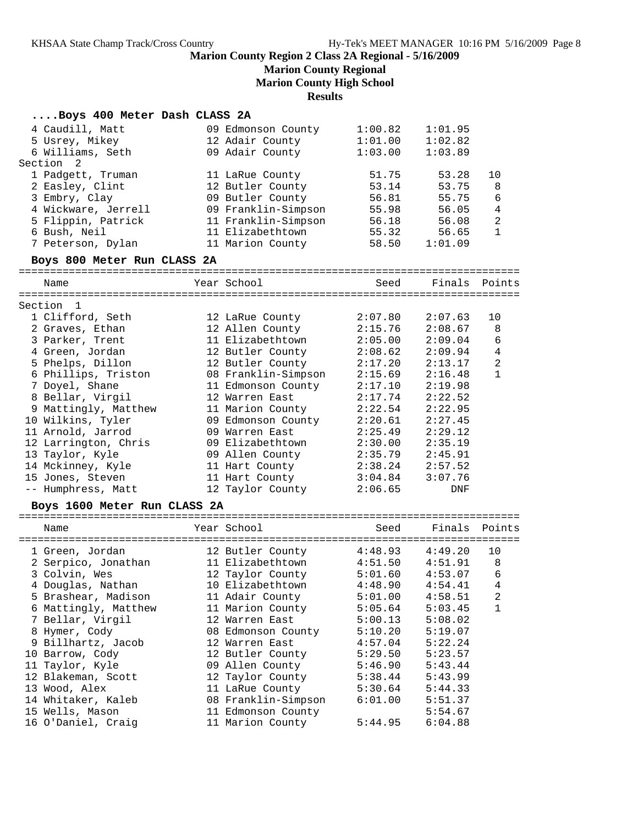# **Marion County Regional**

**Marion County High School**

**Results**

# **....Boys 400 Meter Dash CLASS 2A**<br>4 Caudill, Matt 09 Edmon

| 4 Caudill, Matt<br>5 Usrey, Mikey<br>6 Williams, Seth<br>Section<br>2                                                                   | 09 Edmonson County<br>12 Adair County<br>09 Adair County                                                                                      | 1:00.82<br>1:01.00<br>1:03.00                               | 1:01.95<br>1:02.82<br>1:03.89                                 |                                                                  |
|-----------------------------------------------------------------------------------------------------------------------------------------|-----------------------------------------------------------------------------------------------------------------------------------------------|-------------------------------------------------------------|---------------------------------------------------------------|------------------------------------------------------------------|
| 1 Padgett, Truman<br>2 Easley, Clint<br>3 Embry, Clay<br>4 Wickware, Jerrell<br>5 Flippin, Patrick<br>6 Bush, Neil<br>7 Peterson, Dylan | 11 LaRue County<br>12 Butler County<br>09 Butler County<br>09 Franklin-Simpson<br>11 Franklin-Simpson<br>11 Elizabethtown<br>11 Marion County | 51.75<br>53.14<br>56.81<br>55.98<br>56.18<br>55.32<br>58.50 | 53.28<br>53.75<br>55.75<br>56.05<br>56.08<br>56.65<br>1:01.09 | 10<br>8<br>6<br>$\overline{4}$<br>$\overline{a}$<br>$\mathbf{1}$ |
| Boys 800 Meter Run CLASS 2A                                                                                                             |                                                                                                                                               |                                                             |                                                               |                                                                  |
| Name                                                                                                                                    | Year School                                                                                                                                   | Seed                                                        | Finals Points                                                 |                                                                  |
| Section 1                                                                                                                               |                                                                                                                                               |                                                             |                                                               |                                                                  |
| 1 Clifford, Seth                                                                                                                        | 12 LaRue County                                                                                                                               | 2:07.80                                                     | 2:07.63                                                       | 10                                                               |
| 2 Graves, Ethan                                                                                                                         | 12 Allen County                                                                                                                               | 2:15.76                                                     | 2:08.67                                                       | 8                                                                |
| 3 Parker, Trent                                                                                                                         | 11 Elizabethtown                                                                                                                              | 2:05.00                                                     | 2:09.04                                                       | 6                                                                |
| 4 Green, Jordan                                                                                                                         | 12 Butler County                                                                                                                              | 2:08.62                                                     | 2:09.94                                                       | $\overline{4}$                                                   |
| 5 Phelps, Dillon                                                                                                                        | 12 Butler County                                                                                                                              | 2:17.20                                                     | 2:13.17                                                       | $\overline{a}$                                                   |
| 6 Phillips, Triston                                                                                                                     | 08 Franklin-Simpson                                                                                                                           | 2:15.69                                                     | 2:16.48                                                       | $\mathbf{1}$                                                     |
| 7 Doyel, Shane                                                                                                                          | 11 Edmonson County                                                                                                                            | 2:17.10                                                     | 2:19.98                                                       |                                                                  |
| 8 Bellar, Virgil                                                                                                                        | 12 Warren East                                                                                                                                | 2:17.74                                                     | 2:22.52                                                       |                                                                  |
| 9 Mattingly, Matthew                                                                                                                    | 11 Marion County                                                                                                                              | 2:22.54                                                     | 2:22.95                                                       |                                                                  |
| 10 Wilkins, Tyler                                                                                                                       | 09 Edmonson County                                                                                                                            | 2:20.61                                                     | 2:27.45                                                       |                                                                  |
| 11 Arnold, Jarrod                                                                                                                       | 09 Warren East                                                                                                                                | 2:25.49                                                     | 2:29.12                                                       |                                                                  |
| 12 Larrington, Chris                                                                                                                    | 09 Elizabethtown                                                                                                                              | 2:30.00                                                     | 2:35.19                                                       |                                                                  |
| 13 Taylor, Kyle                                                                                                                         | 09 Allen County                                                                                                                               | 2:35.79                                                     | 2:45.91                                                       |                                                                  |
| 14 Mckinney, Kyle                                                                                                                       | 11 Hart County                                                                                                                                | 2:38.24                                                     | 2:57.52                                                       |                                                                  |
| 15 Jones, Steven                                                                                                                        | 11 Hart County                                                                                                                                | 3:04.84                                                     | 3:07.76                                                       |                                                                  |
| -- Humphress, Matt                                                                                                                      | 12 Taylor County                                                                                                                              | 2:06.65                                                     | DNF                                                           |                                                                  |
| Boys 1600 Meter Run CLASS 2A                                                                                                            |                                                                                                                                               |                                                             |                                                               |                                                                  |
|                                                                                                                                         |                                                                                                                                               |                                                             |                                                               |                                                                  |
| Name                                                                                                                                    | Year School                                                                                                                                   | Seed                                                        | Finals                                                        | Points                                                           |
| 1 Green, Jordan                                                                                                                         | 12 Butler County                                                                                                                              | 4:48.93                                                     | 4:49.20                                                       | 10                                                               |
| 2 Serpico, Jonathan                                                                                                                     | 11 Elizabethtown                                                                                                                              | 4:51.50                                                     | 4:51.91                                                       | 8                                                                |
| 3 Colvin, Wes                                                                                                                           | 12 Taylor County                                                                                                                              | 5:01.60                                                     | 4:53.07                                                       | 6                                                                |
| 4 Douglas, Nathan                                                                                                                       | 10 Elizabethtown                                                                                                                              | 4:48.90                                                     | 4:54.41                                                       | 4                                                                |
| 5 Brashear, Madison                                                                                                                     | 11 Adair County                                                                                                                               | 5:01.00                                                     | 4:58.51                                                       | 2                                                                |
| 6 Mattingly, Matthew                                                                                                                    | 11 Marion County                                                                                                                              | 5:05.64                                                     | 5:03.45                                                       | 1                                                                |
| 7 Bellar, Virgil                                                                                                                        | 12 Warren East                                                                                                                                | 5:00.13                                                     | 5:08.02                                                       |                                                                  |
| 8 Hymer, Cody                                                                                                                           | 08 Edmonson County                                                                                                                            | 5:10.20                                                     | 5:19.07                                                       |                                                                  |
| 9 Billhartz, Jacob                                                                                                                      | 12 Warren East                                                                                                                                | 4:57.04                                                     | 5:22.24                                                       |                                                                  |
| 10 Barrow, Cody                                                                                                                         | 12 Butler County                                                                                                                              | 5:29.50                                                     | 5:23.57                                                       |                                                                  |
| 11 Taylor, Kyle                                                                                                                         | 09 Allen County                                                                                                                               | 5:46.90                                                     | 5:43.44                                                       |                                                                  |
| 12 Blakeman, Scott                                                                                                                      | 12 Taylor County                                                                                                                              | 5:38.44                                                     | 5:43.99                                                       |                                                                  |
| 13 Wood, Alex                                                                                                                           | 11 LaRue County                                                                                                                               | 5:30.64                                                     | 5:44.33                                                       |                                                                  |
| 14 Whitaker, Kaleb                                                                                                                      | 08 Franklin-Simpson                                                                                                                           | 6:01.00                                                     | 5:51.37                                                       |                                                                  |
| 15 Wells, Mason                                                                                                                         | 11 Edmonson County                                                                                                                            |                                                             | 5:54.67                                                       |                                                                  |
|                                                                                                                                         |                                                                                                                                               |                                                             |                                                               |                                                                  |

16 O'Daniel, Craig 11 Marion County 5:44.95 6:04.88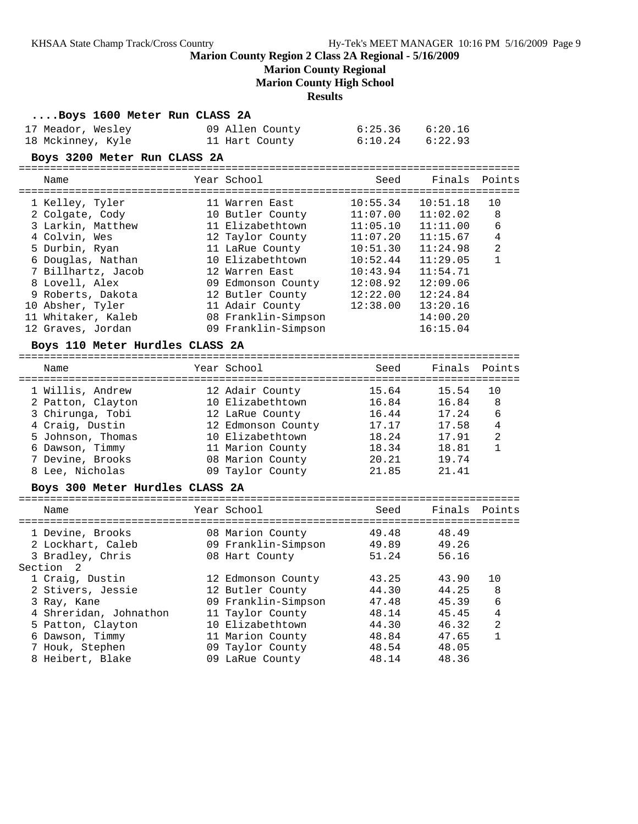## **Marion County Regional**

**Marion County High School**

**Results**

| Boys 1600 Meter Run CLASS 2A |                 |         |         |  |
|------------------------------|-----------------|---------|---------|--|
| 17 Meador, Wesley            | 09 Allen County | 6:25.36 | 6:20.16 |  |
| 18 Mckinney, Kyle            | 11 Hart County  | 6:10.24 | 6:22.93 |  |
| Boys 3200 Meter Run CLASS 2A |                 |         |         |  |
|                              |                 |         |         |  |

| Name               | Year School         | Seed     | Finals   | Points         |
|--------------------|---------------------|----------|----------|----------------|
| 1 Kelley, Tyler    | 11 Warren East      | 10:55.34 | 10:51.18 | 10             |
| 2 Colgate, Cody    | 10 Butler County    | 11:07.00 | 11:02.02 | 8              |
| 3 Larkin, Matthew  | 11 Elizabethtown    | 11:05.10 | 11:11.00 | 6              |
| 4 Colvin, Wes      | 12 Taylor County    | 11:07.20 | 11:15.67 | 4              |
| 5 Durbin, Ryan     | 11 LaRue County     | 10:51.30 | 11:24.98 | $\overline{2}$ |
| 6 Douglas, Nathan  | 10 Elizabethtown    | 10:52.44 | 11:29.05 |                |
| 7 Billhartz, Jacob | 12 Warren East      | 10:43.94 | 11:54.71 |                |
| 8 Lovell, Alex     | 09 Edmonson County  | 12:08.92 | 12:09.06 |                |
| 9 Roberts, Dakota  | 12 Butler County    | 12:22.00 | 12:24.84 |                |
| 10 Absher, Tyler   | 11 Adair County     | 12:38.00 | 13:20.16 |                |
| 11 Whitaker, Kaleb | 08 Franklin-Simpson |          | 14:00.20 |                |
| 12 Graves, Jordan  | 09 Franklin-Simpson |          | 16:15.04 |                |
|                    |                     |          |          |                |

#### **Boys 110 Meter Hurdles CLASS 2A**

| Name              | Year School        | Seed  | Finals Points |                |
|-------------------|--------------------|-------|---------------|----------------|
| 1 Willis, Andrew  | 12 Adair County    | 15.64 | 15.54         | 1 O            |
| 2 Patton, Clayton | 10 Elizabethtown   | 16.84 | 16.84         | 8              |
| 3 Chirunga, Tobi  | 12 LaRue County    | 16.44 | 17.24         | 6              |
| 4 Craig, Dustin   | 12 Edmonson County | 17.17 | 17.58         | 4              |
| 5 Johnson, Thomas | 10 Elizabethtown   | 18.24 | 17.91         | $\overline{2}$ |
| 6 Dawson, Timmy   | 11 Marion County   | 18.34 | 18.81         |                |
| 7 Devine, Brooks  | 08 Marion County   | 20.21 | 19.74         |                |
| 8 Lee, Nicholas   | 09 Taylor County   | 21.85 | 21.41         |                |
|                   |                    |       |               |                |

#### **Boys 300 Meter Hurdles CLASS 2A**

| Name                   | Year School         | Seed  | Finals | Points         |
|------------------------|---------------------|-------|--------|----------------|
| 1 Devine, Brooks       | 08 Marion County    | 49.48 | 48.49  |                |
| 2 Lockhart, Caleb      | 09 Franklin-Simpson | 49.89 | 49.26  |                |
| 3 Bradley, Chris       | 08 Hart County      | 51.24 | 56.16  |                |
| Section 2              |                     |       |        |                |
| 1 Craig, Dustin        | 12 Edmonson County  | 43.25 | 43.90  | 10             |
| 2 Stivers, Jessie      | 12 Butler County    | 44.30 | 44.25  | 8              |
| 3 Ray, Kane            | 09 Franklin-Simpson | 47.48 | 45.39  | 6              |
| 4 Shreridan, Johnathon | 11 Taylor County    | 48.14 | 45.45  | 4              |
| 5 Patton, Clayton      | 10 Elizabethtown    | 44.30 | 46.32  | $\overline{2}$ |
| 6 Dawson, Timmy        | 11 Marion County    | 48.84 | 47.65  | 1              |
| 7 Houk, Stephen        | 09 Taylor County    | 48.54 | 48.05  |                |
| 8 Heibert, Blake       | 09 LaRue County     | 48.14 | 48.36  |                |
|                        |                     |       |        |                |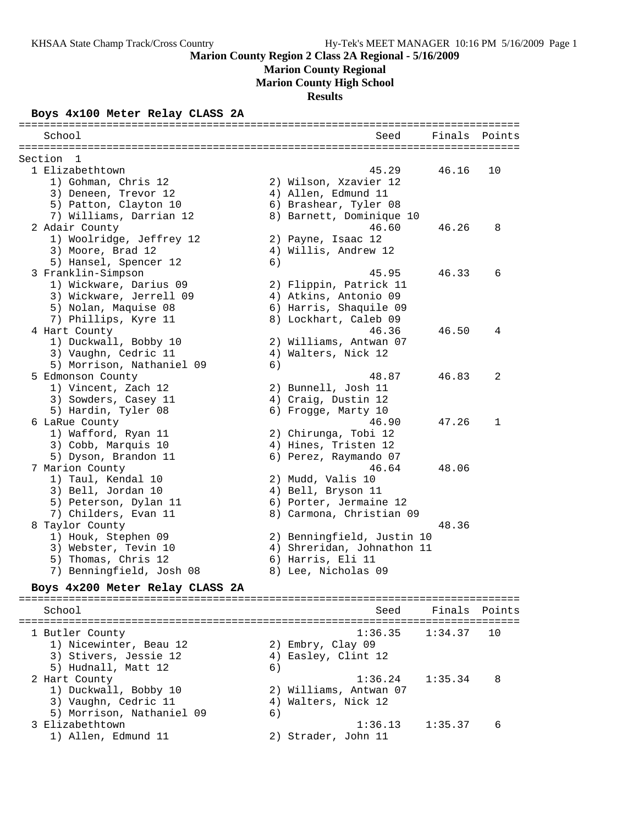**Marion County Regional**

**Marion County High School**

**Results**

#### **Boys 4x100 Meter Relay CLASS 2A**

| School                               |    | Seed                       | Finals  | Points |
|--------------------------------------|----|----------------------------|---------|--------|
| Section<br>- 1                       |    |                            |         |        |
| 1 Elizabethtown                      |    | 45.29                      | 46.16   | 10     |
| 1) Gohman, Chris 12                  |    | 2) Wilson, Xzavier 12      |         |        |
| 3) Deneen, Trevor 12                 |    | 4) Allen, Edmund 11        |         |        |
| 5) Patton, Clayton 10                |    | 6) Brashear, Tyler 08      |         |        |
| 7) Williams, Darrian 12              |    | 8) Barnett, Dominique 10   |         |        |
| 2 Adair County                       |    | 46.60                      | 46.26   | 8      |
| 1) Woolridge, Jeffrey 12             |    | 2) Payne, Isaac 12         |         |        |
| 3) Moore, Brad 12                    |    | 4) Willis, Andrew 12       |         |        |
| 5) Hansel, Spencer 12                | 6) |                            |         |        |
| 3 Franklin-Simpson                   |    | 45.95                      | 46.33   | 6      |
| 1) Wickware, Darius 09               |    | 2) Flippin, Patrick 11     |         |        |
| 3) Wickware, Jerrell 09              |    | 4) Atkins, Antonio 09      |         |        |
| 5) Nolan, Maquise 08                 |    | 6) Harris, Shaquile 09     |         |        |
| 7) Phillips, Kyre 11                 |    | 8) Lockhart, Caleb 09      |         |        |
| 4 Hart County                        |    | 46.36                      | 46.50   | 4      |
| 1) Duckwall, Bobby 10                |    | 2) Williams, Antwan 07     |         |        |
| 3) Vaughn, Cedric 11                 |    | 4) Walters, Nick 12        |         |        |
| 5) Morrison, Nathaniel 09            | 6) |                            |         |        |
| 5 Edmonson County                    |    | 48.87                      | 46.83   | 2      |
| 1) Vincent, Zach 12                  |    | 2) Bunnell, Josh 11        |         |        |
| 3) Sowders, Casey 11                 |    | 4) Craig, Dustin 12        |         |        |
| 5) Hardin, Tyler 08                  |    | 6) Frogge, Marty 10        |         |        |
| 6 LaRue County                       |    | 46.90                      | 47.26   | 1      |
| 1) Wafford, Ryan 11                  |    | 2) Chirunga, Tobi 12       |         |        |
| 3) Cobb, Marquis 10                  |    | 4) Hines, Tristen 12       |         |        |
| 5) Dyson, Brandon 11                 |    | 6) Perez, Raymando 07      |         |        |
| 7 Marion County                      |    | 46.64                      | 48.06   |        |
| 1) Taul, Kendal 10                   |    | 2) Mudd, Valis 10          |         |        |
| 3) Bell, Jordan 10                   |    | 4) Bell, Bryson 11         |         |        |
| 5) Peterson, Dylan 11                |    | 6) Porter, Jermaine 12     |         |        |
| 7) Childers, Evan 11                 |    | 8) Carmona, Christian 09   |         |        |
| 8 Taylor County                      |    |                            | 48.36   |        |
| 1) Houk, Stephen 09                  |    | 2) Benningfield, Justin 10 |         |        |
| 3) Webster, Tevin 10                 |    | 4) Shreridan, Johnathon 11 |         |        |
| 5) Thomas, Chris 12                  |    | 6) Harris, Eli 11          |         |        |
| 7) Benningfield, Josh 08             |    | 8) Lee, Nicholas 09        |         |        |
| Boys 4x200 Meter Relay CLASS 2A      |    |                            |         |        |
| School                               |    | Seed                       | Finals  | Points |
|                                      |    |                            |         |        |
| 1 Butler County                      |    | 1:36.35                    | 1:34.37 | 10     |
| 1) Nicewinter, Beau 12               |    | 2) Embry, Clay 09          |         |        |
| 3) Stivers, Jessie 12                |    | 4) Easley, Clint 12        |         |        |
| 5) Hudnall, Matt 12<br>2 Hart County | 6) | $1:36.24$ $1:35.34$        |         | 8      |
|                                      |    |                            |         |        |

2 Hart County 1:36.24 1:35.34 8

3 Elizabethtown 1:36.13 1:35.37 6

 1) Duckwall, Bobby 10 2) Williams, Antwan 07 3) Vaughn, Cedric 11 (4) Walters, Nick 12

1) Allen, Edmund 11 2) Strader, John 11

5) Morrison, Nathaniel 09 (6)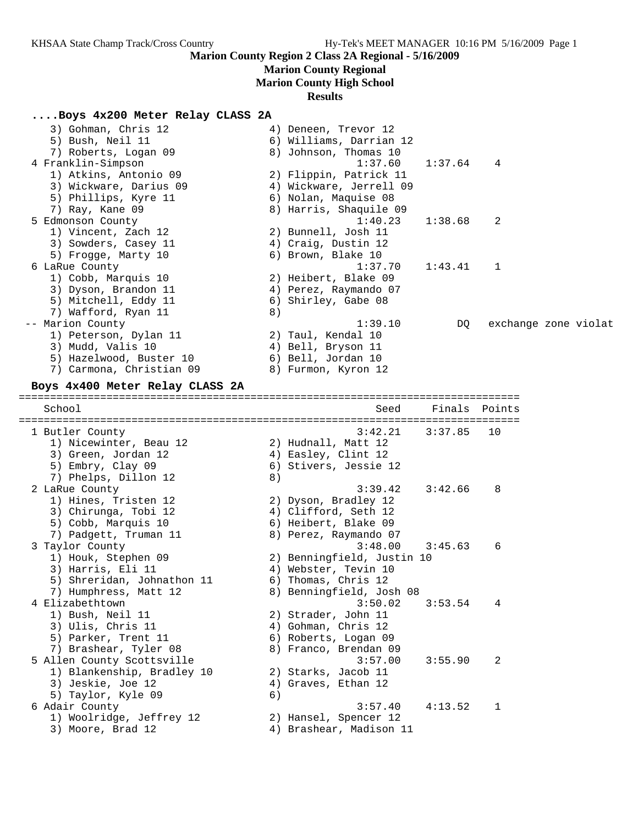# **Marion County Regional**

**Marion County High School**

# **Results**

## **....Boys 4x200 Meter Relay CLASS 2A**

| 3) Gohman, Chris 12<br>5) Bush, Neil 11<br>7) Roberts, Logan 09<br>4 Franklin-Simpson                                                                    | 4) Deneen, Trevor 12<br>6) Williams, Darrian 12<br>8) Johnson, Thomas 10<br>1:37.60                                     | 1:37.64 | 4             |                      |
|----------------------------------------------------------------------------------------------------------------------------------------------------------|-------------------------------------------------------------------------------------------------------------------------|---------|---------------|----------------------|
| 1) Atkins, Antonio 09<br>3) Wickware, Darius 09<br>5) Phillips, Kyre 11<br>7) Ray, Kane 09                                                               | 2) Flippin, Patrick 11<br>4) Wickware, Jerrell 09<br>6) Nolan, Maquise 08<br>8) Harris, Shaquile 09                     |         |               |                      |
| 5 Edmonson County<br>1) Vincent, Zach 12<br>3) Sowders, Casey 11<br>5) Frogge, Marty 10                                                                  | 1:40.23<br>2) Bunnell, Josh 11<br>4) Craig, Dustin 12<br>6) Brown, Blake 10                                             | 1:38.68 | 2             |                      |
| 6 LaRue County<br>1) Cobb, Marquis 10<br>3) Dyson, Brandon 11<br>5) Mitchell, Eddy 11<br>7) Wafford, Ryan 11                                             | 1:37.70<br>2) Heibert, Blake 09<br>4) Perez, Raymando 07<br>6) Shirley, Gabe 08<br>8)                                   | 1:43.41 | 1             |                      |
| -- Marion County<br>1) Peterson, Dylan 11<br>3) Mudd, Valis 10<br>5) Hazelwood, Buster 10<br>7) Carmona, Christian 09<br>Boys 4x400 Meter Relay CLASS 2A | 1:39.10<br>2) Taul, Kendal 10<br>4) Bell, Bryson 11<br>6) Bell, Jordan 10<br>8) Furmon, Kyron 12                        | DQ      |               | exchange zone violat |
| School                                                                                                                                                   | Seed                                                                                                                    |         | Finals Points |                      |
| 1 Butler County<br>1) Nicewinter, Beau 12<br>3) Green, Jordan 12<br>5) Embry, Clay 09<br>7) Phelps, Dillon 12                                            | ===============================<br>3:42.21<br>2) Hudnall, Matt 12<br>4) Easley, Clint 12<br>6) Stivers, Jessie 12<br>8) | 3:37.85 | 10            |                      |
| 2 LaRue County<br>1) Hines, Tristen 12<br>3) Chirunga, Tobi 12<br>5) Cobb, Marquis 10<br>7) Padgett, Truman 11                                           | 3:39.42<br>2) Dyson, Bradley 12<br>4) Clifford, Seth 12<br>6) Heibert, Blake 09<br>8) Perez, Raymando 07                | 3:42.66 | 8             |                      |
| 3 Taylor County<br>1) Houk, Stephen 09<br>3) Harris, Eli 11<br>5) Shreridan, Johnathon 11<br>7) Humphress, Matt 12                                       | 3:48.00<br>2) Benningfield, Justin 10<br>4) Webster, Tevin 10<br>6) Thomas, Chris 12<br>8) Benningfield, Josh 08        | 3:45.63 | 6             |                      |
| 4 Elizabethtown<br>1) Bush, Neil 11<br>3) Ulis, Chris 11<br>5) Parker, Trent 11<br>7) Brashear, Tyler 08                                                 | 3:50.02<br>2) Strader, John 11<br>4) Gohman, Chris 12<br>6) Roberts, Logan 09<br>8) Franco, Brendan 09                  | 3:53.54 | 4             |                      |
| 5 Allen County Scottsville<br>1) Blankenship, Bradley 10                                                                                                 | 3:57.00<br>2) Starks, Jacob 11                                                                                          | 3:55.90 | 2             |                      |
| 3) Jeskie, Joe 12<br>5) Taylor, Kyle 09                                                                                                                  | 4) Graves, Ethan 12<br>6)                                                                                               |         |               |                      |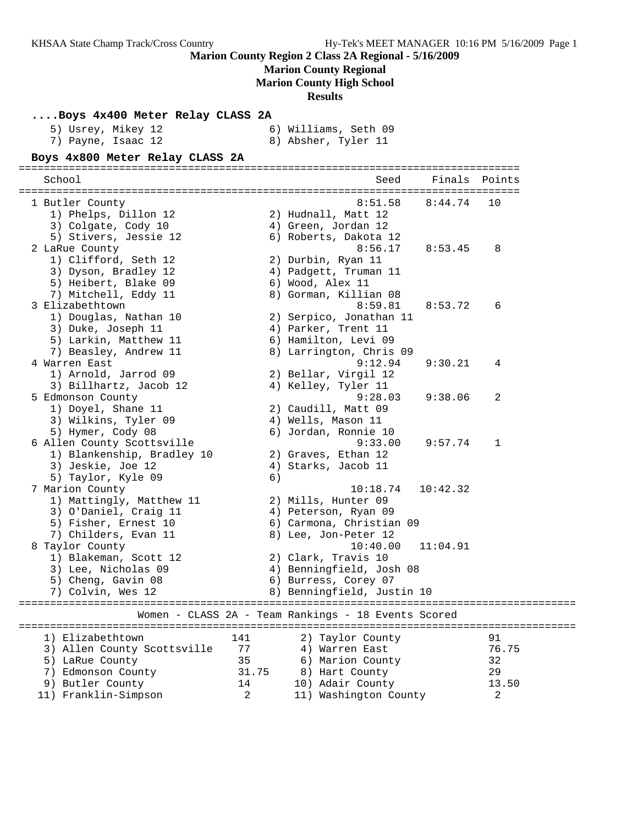# **Marion County Regional**

**Marion County High School**

## **Results**

| Boys 4x400 Meter Relay CLASS 2A |       |                                                     |          |                                    |
|---------------------------------|-------|-----------------------------------------------------|----------|------------------------------------|
| 5) Usrey, Mikey 12              |       | 6) Williams, Seth 09                                |          |                                    |
| 7) Payne, Isaac 12              |       | 8) Absher, Tyler 11                                 |          |                                    |
| Boys 4x800 Meter Relay CLASS 2A |       |                                                     |          |                                    |
| School                          |       | Seed                                                | Finals   | Points                             |
|                                 |       |                                                     |          |                                    |
| 1 Butler County                 |       | 8:51.58                                             | 8:44.74  | 10                                 |
| 1) Phelps, Dillon 12            |       | 2) Hudnall, Matt 12                                 |          |                                    |
| 3) Colgate, Cody 10             |       | 4) Green, Jordan 12                                 |          |                                    |
| 5) Stivers, Jessie 12           |       | 6) Roberts, Dakota 12                               |          |                                    |
| 2 LaRue County                  |       | 8:56.17                                             | 8:53.45  | 8                                  |
| 1) Clifford, Seth 12            |       | 2) Durbin, Ryan 11                                  |          |                                    |
| 3) Dyson, Bradley 12            |       | 4) Padgett, Truman 11                               |          |                                    |
| 5) Heibert, Blake 09            |       | 6) Wood, Alex 11                                    |          |                                    |
| 7) Mitchell, Eddy 11            |       | 8) Gorman, Killian 08                               |          |                                    |
| 3 Elizabethtown                 |       | 8:59.81                                             | 8:53.72  | 6                                  |
| 1) Douglas, Nathan 10           |       | 2) Serpico, Jonathan 11                             |          |                                    |
| 3) Duke, Joseph 11              |       | 4) Parker, Trent 11                                 |          |                                    |
| 5) Larkin, Matthew 11           |       | 6) Hamilton, Levi 09                                |          |                                    |
| 7) Beasley, Andrew 11           |       | 8) Larrington, Chris 09                             |          |                                    |
| 4 Warren East                   |       | 9:12.94                                             | 9:30.21  | 4                                  |
| 1) Arnold, Jarrod 09            |       | 2) Bellar, Virgil 12                                |          |                                    |
| 3) Billhartz, Jacob 12          |       | 4) Kelley, Tyler 11                                 |          |                                    |
| 5 Edmonson County               |       | 9:28.03                                             | 9:38.06  | 2                                  |
| 1) Doyel, Shane 11              |       | 2) Caudill, Matt 09                                 |          |                                    |
| 3) Wilkins, Tyler 09            |       | 4) Wells, Mason 11                                  |          |                                    |
| 5) Hymer, Cody 08               |       | 6) Jordan, Ronnie 10                                |          |                                    |
| 6 Allen County Scottsville      |       | 9:33.00                                             | 9:57.74  | 1                                  |
| 1) Blankenship, Bradley 10      |       | 2) Graves, Ethan 12                                 |          |                                    |
| 3) Jeskie, Joe 12               |       | 4) Starks, Jacob 11                                 |          |                                    |
| 5) Taylor, Kyle 09              | 6)    |                                                     |          |                                    |
| 7 Marion County                 |       | 10:18.74                                            | 10:42.32 |                                    |
| 1) Mattingly, Matthew 11        |       | 2) Mills, Hunter 09                                 |          |                                    |
| 3) O'Daniel, Craig 11           |       | 4) Peterson, Ryan 09                                |          |                                    |
| 5) Fisher, Ernest 10            |       | 6) Carmona, Christian 09                            |          |                                    |
| 7) Childers, Evan 11            |       | 8) Lee, Jon-Peter 12                                |          |                                    |
| 8 Taylor County                 |       | 10:40.00                                            | 11:04.91 |                                    |
| 1) Blakeman, Scott 12           |       | 2) Clark, Travis 10                                 |          |                                    |
| 3) Lee, Nicholas 09             |       | 4) Benningfield, Josh 08                            |          |                                    |
| 5) Cheng, Gavin 08              |       | 6) Burress, Corey 07                                |          |                                    |
| 7) Colvin, Wes 12               |       | 8) Benningfield, Justin 10                          |          |                                    |
| -------------------------       |       | Women - CLASS 2A - Team Rankings - 18 Events Scored |          | ================================== |
| 1) Elizabethtown                | 141   |                                                     |          | 91                                 |
| 3) Allen County Scottsville     | 77    | 2) Taylor County<br>4) Warren East                  |          | 76.75                              |
|                                 |       |                                                     |          |                                    |
| 5) LaRue County                 | 35    | 6) Marion County                                    |          | 32                                 |
| 7) Edmonson County              | 31.75 | 8) Hart County                                      |          | 29                                 |
| 9) Butler County                | 14    | 10) Adair County                                    |          | 13.50                              |
| 11) Franklin-Simpson            | 2     | 11) Washington County                               |          | 2                                  |